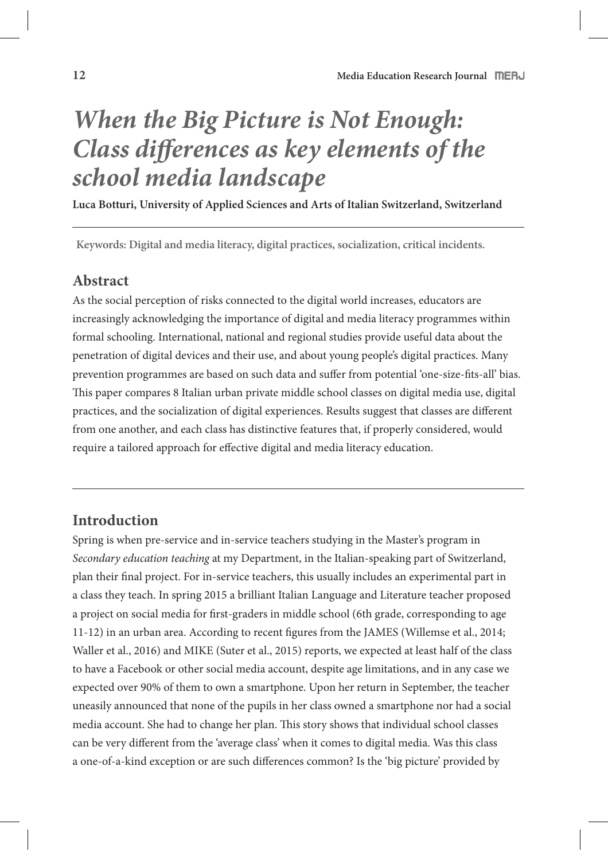# *When the Big Picture is Not Enough: Class di***!***erences as key elements of the school media landscape*

**Luca Botturi, University of Applied Sciences and Arts of Italian Switzerland, Switzerland** 

**Keywords: Digital and media literacy, digital practices, socialization, critical incidents.**

### **Abstract**

As the social perception of risks connected to the digital world increases, educators are increasingly acknowledging the importance of digital and media literacy programmes within formal schooling. International, national and regional studies provide useful data about the penetration of digital devices and their use, and about young people's digital practices. Many prevention programmes are based on such data and suffer from potential 'one-size-fits-all' bias. This paper compares 8 Italian urban private middle school classes on digital media use, digital practices, and the socialization of digital experiences. Results suggest that classes are different from one another, and each class has distinctive features that, if properly considered, would require a tailored approach for effective digital and media literacy education.

### **Introduction**

Spring is when pre-service and in-service teachers studying in the Master's program in *Secondary education teaching* at my Department, in the Italian-speaking part of Switzerland, plan their final project. For in-service teachers, this usually includes an experimental part in a class they teach. In spring 2015 a brilliant Italian Language and Literature teacher proposed a project on social media for first-graders in middle school (6th grade, corresponding to age 11-12) in an urban area. According to recent figures from the JAMES (Willemse et al., 2014; Waller et al., 2016) and MIKE (Suter et al., 2015) reports, we expected at least half of the class to have a Facebook or other social media account, despite age limitations, and in any case we expected over 90% of them to own a smartphone. Upon her return in September, the teacher uneasily announced that none of the pupils in her class owned a smartphone nor had a social media account. She had to change her plan. This story shows that individual school classes can be very different from the 'average class' when it comes to digital media. Was this class a one-of-a-kind exception or are such differences common? Is the 'big picture' provided by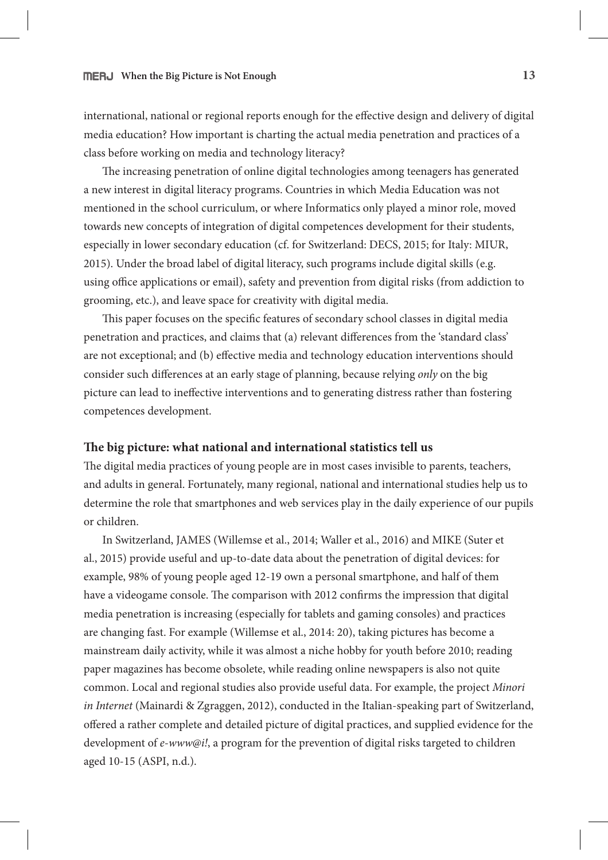international, national or regional reports enough for the effective design and delivery of digital media education? How important is charting the actual media penetration and practices of a class before working on media and technology literacy?

The increasing penetration of online digital technologies among teenagers has generated a new interest in digital literacy programs. Countries in which Media Education was not mentioned in the school curriculum, or where Informatics only played a minor role, moved towards new concepts of integration of digital competences development for their students, especially in lower secondary education (cf. for Switzerland: DECS, 2015; for Italy: MIUR, 2015). Under the broad label of digital literacy, such programs include digital skills (e.g. using office applications or email), safety and prevention from digital risks (from addiction to grooming, etc.), and leave space for creativity with digital media.

This paper focuses on the specific features of secondary school classes in digital media penetration and practices, and claims that (a) relevant differences from the 'standard class' are not exceptional; and (b) effective media and technology education interventions should consider such differences at an early stage of planning, because relying *only* on the big picture can lead to ineffective interventions and to generating distress rather than fostering competences development.

### **!e big picture: what national and international statistics tell us**

The digital media practices of young people are in most cases invisible to parents, teachers, and adults in general. Fortunately, many regional, national and international studies help us to determine the role that smartphones and web services play in the daily experience of our pupils or children.

In Switzerland, JAMES (Willemse et al., 2014; Waller et al., 2016) and MIKE (Suter et al., 2015) provide useful and up-to-date data about the penetration of digital devices: for example, 98% of young people aged 12-19 own a personal smartphone, and half of them have a videogame console. The comparison with 2012 confirms the impression that digital media penetration is increasing (especially for tablets and gaming consoles) and practices are changing fast. For example (Willemse et al., 2014: 20), taking pictures has become a mainstream daily activity, while it was almost a niche hobby for youth before 2010; reading paper magazines has become obsolete, while reading online newspapers is also not quite common. Local and regional studies also provide useful data. For example, the project *Minori in Internet* (Mainardi & Zgraggen, 2012), conducted in the Italian-speaking part of Switzerland, offered a rather complete and detailed picture of digital practices, and supplied evidence for the development of *e-www@i!*, a program for the prevention of digital risks targeted to children aged 10-15 (ASPI, n.d.).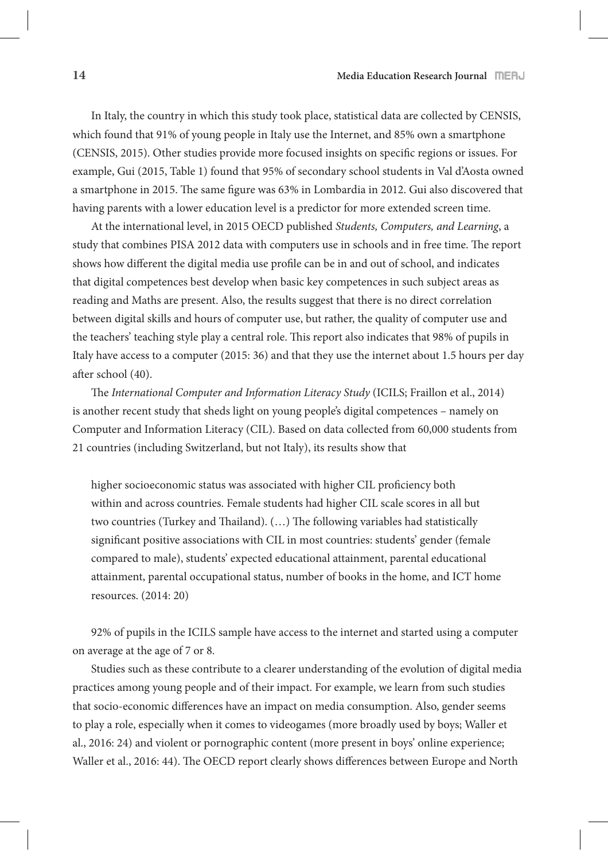In Italy, the country in which this study took place, statistical data are collected by CENSIS, which found that 91% of young people in Italy use the Internet, and 85% own a smartphone (CENSIS, 2015). Other studies provide more focused insights on specific regions or issues. For example, Gui (2015, Table 1) found that 95% of secondary school students in Val d'Aosta owned a smartphone in 2015. The same figure was 63% in Lombardia in 2012. Gui also discovered that having parents with a lower education level is a predictor for more extended screen time.

At the international level, in 2015 OECD published *Students, Computers, and Learning*, a study that combines PISA 2012 data with computers use in schools and in free time. The report shows how different the digital media use profile can be in and out of school, and indicates that digital competences best develop when basic key competences in such subject areas as reading and Maths are present. Also, the results suggest that there is no direct correlation between digital skills and hours of computer use, but rather, the quality of computer use and the teachers' teaching style play a central role. #is report also indicates that 98% of pupils in Italy have access to a computer (2015: 36) and that they use the internet about 1.5 hours per day after school (40).

The *International Computer and Information Literacy Study* (ICILS; Fraillon et al., 2014) is another recent study that sheds light on young people's digital competences – namely on Computer and Information Literacy (CIL). Based on data collected from 60,000 students from 21 countries (including Switzerland, but not Italy), its results show that

higher socioeconomic status was associated with higher CIL proficiency both within and across countries. Female students had higher CIL scale scores in all but two countries (Turkey and Thailand). (...) The following variables had statistically significant positive associations with CIL in most countries: students' gender (female compared to male), students' expected educational attainment, parental educational attainment, parental occupational status, number of books in the home, and ICT home resources. (2014: 20)

92% of pupils in the ICILS sample have access to the internet and started using a computer on average at the age of 7 or 8.

Studies such as these contribute to a clearer understanding of the evolution of digital media practices among young people and of their impact. For example, we learn from such studies that socio-economic differences have an impact on media consumption. Also, gender seems to play a role, especially when it comes to videogames (more broadly used by boys; Waller et al., 2016: 24) and violent or pornographic content (more present in boys' online experience; Waller et al., 2016: 44). The OECD report clearly shows differences between Europe and North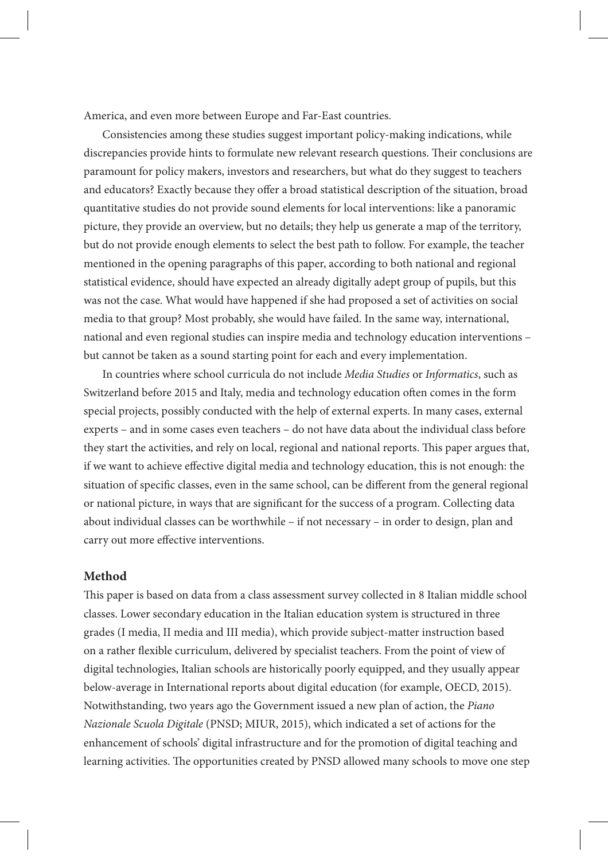America, and even more between Europe and Far-East countries.

Consistencies among these studies suggest important policy-making indications, while discrepancies provide hints to formulate new relevant research questions. Their conclusions are paramount for policy makers, investors and researchers, but what do they suggest to teachers and educators? Exactly because they offer a broad statistical description of the situation, broad quantitative studies do not provide sound elements for local interventions: like a panoramic picture, they provide an overview, but no details; they help us generate a map of the territory, but do not provide enough elements to select the best path to follow. For example, the teacher mentioned in the opening paragraphs of this paper, according to both national and regional statistical evidence, should have expected an already digitally adept group of pupils, but this was not the case. What would have happened if she had proposed a set of activities on social media to that group? Most probably, she would have failed. In the same way, international, national and even regional studies can inspire media and technology education interventions – but cannot be taken as a sound starting point for each and every implementation.

In countries where school curricula do not include *Media Studies* or *Informatics*, such as Switzerland before 2015 and Italy, media and technology education often comes in the form special projects, possibly conducted with the help of external experts. In many cases, external experts – and in some cases even teachers – do not have data about the individual class before they start the activities, and rely on local, regional and national reports. This paper argues that, if we want to achieve effective digital media and technology education, this is not enough: the situation of specific classes, even in the same school, can be different from the general regional or national picture, in ways that are significant for the success of a program. Collecting data about individual classes can be worthwhile – if not necessary – in order to design, plan and carry out more effective interventions.

### **Method**

This paper is based on data from a class assessment survey collected in 8 Italian middle school classes. Lower secondary education in the Italian education system is structured in three grades (I media, II media and III media), which provide subject-matter instruction based on a rather flexible curriculum, delivered by specialist teachers. From the point of view of digital technologies, Italian schools are historically poorly equipped, and they usually appear below-average in International reports about digital education (for example, OECD, 2015). Notwithstanding, two years ago the Government issued a new plan of action, the *Piano Nazionale Scuola Digitale* (PNSD; MIUR, 2015), which indicated a set of actions for the enhancement of schools' digital infrastructure and for the promotion of digital teaching and learning activities. The opportunities created by PNSD allowed many schools to move one step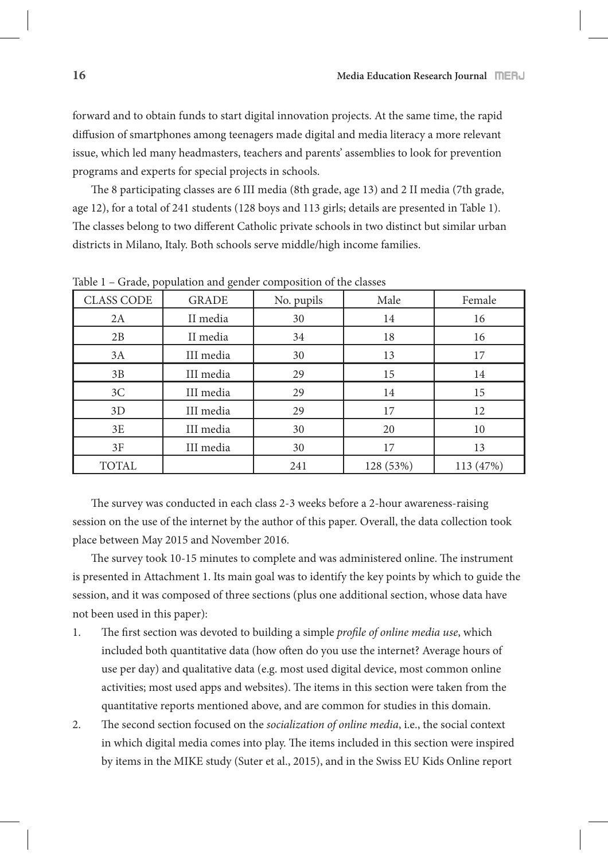forward and to obtain funds to start digital innovation projects. At the same time, the rapid diffusion of smartphones among teenagers made digital and media literacy a more relevant issue, which led many headmasters, teachers and parents' assemblies to look for prevention programs and experts for special projects in schools.

The 8 participating classes are 6 III media (8th grade, age 13) and 2 II media (7th grade, age 12), for a total of 241 students (128 boys and 113 girls; details are presented in Table 1). The classes belong to two different Catholic private schools in two distinct but similar urban districts in Milano, Italy. Both schools serve middle/high income families.

| <b>CLASS CODE</b> | <b>GRADE</b> | No. pupils | Male      | Female    |
|-------------------|--------------|------------|-----------|-----------|
| 2A                | II media     | 30         | 14        | 16        |
| 2B                | II media     | 34         | 18        | 16        |
| 3A                | III media    | 30         | 13        | 17        |
| 3B                | III media    | 29         | 15        | 14        |
| 3C                | III media    | 29         | 14        | 15        |
| 3D                | III media    | 29         | 17        | 12        |
| 3E                | III media    | 30         | 20        | 10        |
| 3F                | III media    | 30         | 17        | 13        |
| <b>TOTAL</b>      |              | 241        | 128 (53%) | 113 (47%) |

Table 1 – Grade, population and gender composition of the classes

The survey was conducted in each class 2-3 weeks before a 2-hour awareness-raising session on the use of the internet by the author of this paper. Overall, the data collection took place between May 2015 and November 2016.

The survey took 10-15 minutes to complete and was administered online. The instrument is presented in Attachment 1. Its main goal was to identify the key points by which to guide the session, and it was composed of three sections (plus one additional section, whose data have not been used in this paper):

- 1. The first section was devoted to building a simple *profile of online media use*, which included both quantitative data (how often do you use the internet? Average hours of use per day) and qualitative data (e.g. most used digital device, most common online activities; most used apps and websites). The items in this section were taken from the quantitative reports mentioned above, and are common for studies in this domain.
- 2. The second section focused on the *socialization of online media*, i.e., the social context in which digital media comes into play. The items included in this section were inspired by items in the MIKE study (Suter et al., 2015), and in the Swiss EU Kids Online report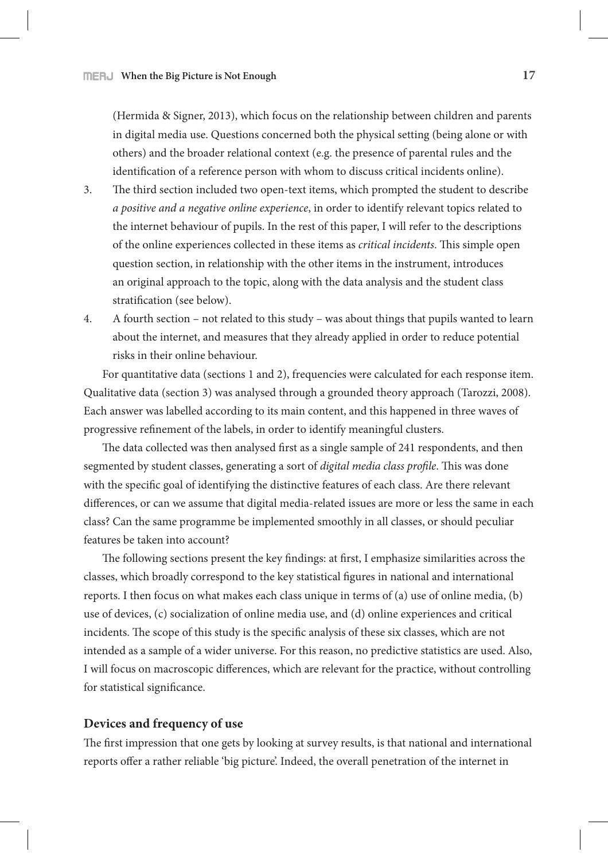(Hermida & Signer, 2013), which focus on the relationship between children and parents in digital media use. Questions concerned both the physical setting (being alone or with others) and the broader relational context (e.g. the presence of parental rules and the identification of a reference person with whom to discuss critical incidents online).

- 3. The third section included two open-text items, which prompted the student to describe *a positive and a negative online experience*, in order to identify relevant topics related to the internet behaviour of pupils. In the rest of this paper, I will refer to the descriptions of the online experiences collected in these items as *critical incidents*. #is simple open question section, in relationship with the other items in the instrument, introduces an original approach to the topic, along with the data analysis and the student class stratification (see below).
- 4. A fourth section not related to this study was about things that pupils wanted to learn about the internet, and measures that they already applied in order to reduce potential risks in their online behaviour.

For quantitative data (sections 1 and 2), frequencies were calculated for each response item. Qualitative data (section 3) was analysed through a grounded theory approach (Tarozzi, 2008). Each answer was labelled according to its main content, and this happened in three waves of progressive refinement of the labels, in order to identify meaningful clusters.

The data collected was then analysed first as a single sample of 241 respondents, and then segmented by student classes, generating a sort of *digital media class profile*. This was done with the specific goal of identifying the distinctive features of each class. Are there relevant differences, or can we assume that digital media-related issues are more or less the same in each class? Can the same programme be implemented smoothly in all classes, or should peculiar features be taken into account?

The following sections present the key findings: at first, I emphasize similarities across the classes, which broadly correspond to the key statistical figures in national and international reports. I then focus on what makes each class unique in terms of (a) use of online media, (b) use of devices, (c) socialization of online media use, and (d) online experiences and critical incidents. The scope of this study is the specific analysis of these six classes, which are not intended as a sample of a wider universe. For this reason, no predictive statistics are used. Also, I will focus on macroscopic differences, which are relevant for the practice, without controlling for statistical significance.

### **Devices and frequency of use**

The first impression that one gets by looking at survey results, is that national and international reports offer a rather reliable 'big picture'. Indeed, the overall penetration of the internet in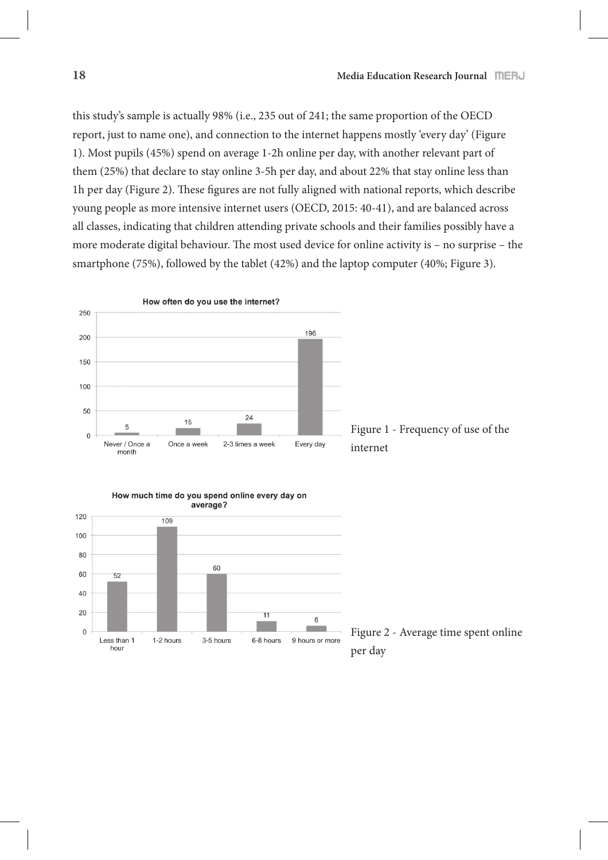this study's sample is actually 98% (i.e., 235 out of 241; the same proportion of the OECD report, just to name one), and connection to the internet happens mostly 'every day' (Figure 1). Most pupils (45%) spend on average 1-2h online per day, with another relevant part of them (25%) that declare to stay online 3-5h per day, and about 22% that stay online less than 1h per day (Figure 2). These figures are not fully aligned with national reports, which describe young people as more intensive internet users (OECD, 2015: 40-41), and are balanced across all classes, indicating that children attending private schools and their families possibly have a more moderate digital behaviour. The most used device for online activity is  $-$  no surprise  $-$  the smartphone (75%), followed by the tablet (42%) and the laptop computer (40%; Figure 3).







Figure 2 - Average time spent online per day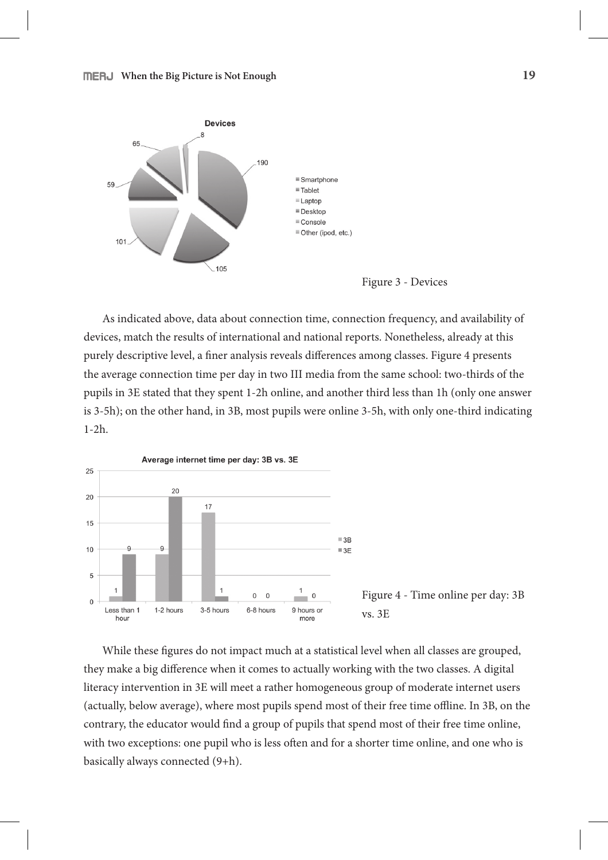



As indicated above, data about connection time, connection frequency, and availability of devices, match the results of international and national reports. Nonetheless, already at this purely descriptive level, a finer analysis reveals differences among classes. Figure 4 presents the average connection time per day in two III media from the same school: two-thirds of the pupils in 3E stated that they spent 1-2h online, and another third less than 1h (only one answer is 3-5h); on the other hand, in 3B, most pupils were online 3-5h, with only one-third indicating 1-2h.



While these figures do not impact much at a statistical level when all classes are grouped, they make a big difference when it comes to actually working with the two classes. A digital literacy intervention in 3E will meet a rather homogeneous group of moderate internet users (actually, below average), where most pupils spend most of their free time offline. In 3B, on the contrary, the educator would find a group of pupils that spend most of their free time online, with two exceptions: one pupil who is less often and for a shorter time online, and one who is basically always connected (9+h).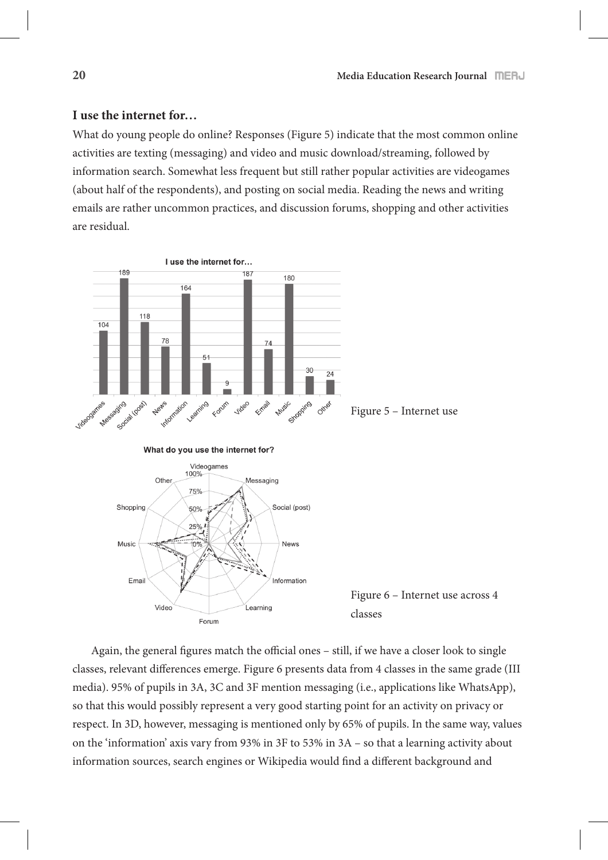### **I use the internet for…**

What do young people do online? Responses (Figure 5) indicate that the most common online activities are texting (messaging) and video and music download/streaming, followed by information search. Somewhat less frequent but still rather popular activities are videogames (about half of the respondents), and posting on social media. Reading the news and writing emails are rather uncommon practices, and discussion forums, shopping and other activities are residual.



Again, the general figures match the official ones – still, if we have a closer look to single classes, relevant differences emerge. Figure 6 presents data from 4 classes in the same grade (III media). 95% of pupils in 3A, 3C and 3F mention messaging (i.e., applications like WhatsApp), so that this would possibly represent a very good starting point for an activity on privacy or respect. In 3D, however, messaging is mentioned only by 65% of pupils. In the same way, values on the 'information' axis vary from 93% in 3F to 53% in 3A – so that a learning activity about information sources, search engines or Wikipedia would find a different background and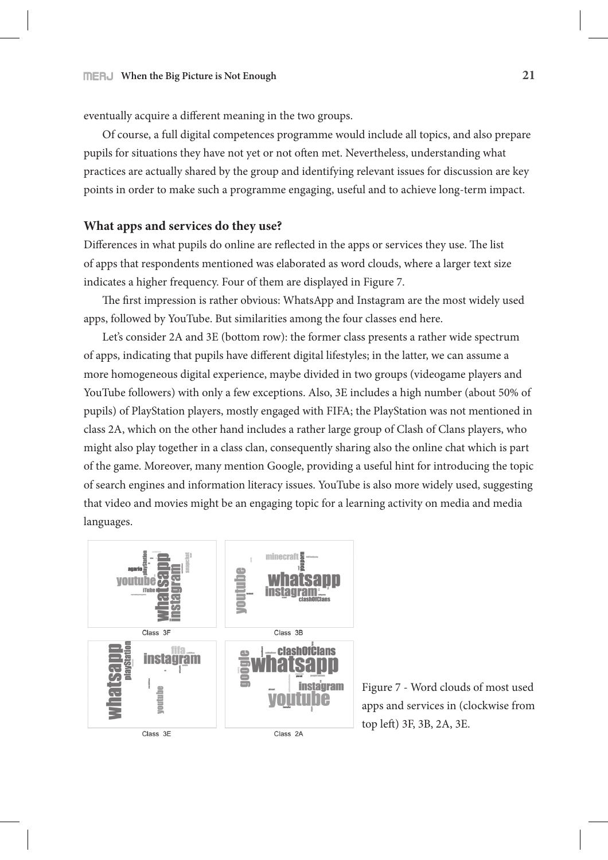eventually acquire a different meaning in the two groups.

Of course, a full digital competences programme would include all topics, and also prepare pupils for situations they have not yet or not often met. Nevertheless, understanding what practices are actually shared by the group and identifying relevant issues for discussion are key points in order to make such a programme engaging, useful and to achieve long-term impact.

#### **What apps and services do they use?**

Differences in what pupils do online are reflected in the apps or services they use. The list of apps that respondents mentioned was elaborated as word clouds, where a larger text size indicates a higher frequency. Four of them are displayed in Figure 7.

The first impression is rather obvious: WhatsApp and Instagram are the most widely used apps, followed by YouTube. But similarities among the four classes end here.

Let's consider 2A and 3E (bottom row): the former class presents a rather wide spectrum of apps, indicating that pupils have different digital lifestyles; in the latter, we can assume a more homogeneous digital experience, maybe divided in two groups (videogame players and YouTube followers) with only a few exceptions. Also, 3E includes a high number (about 50% of pupils) of PlayStation players, mostly engaged with FIFA; the PlayStation was not mentioned in class 2A, which on the other hand includes a rather large group of Clash of Clans players, who might also play together in a class clan, consequently sharing also the online chat which is part of the game. Moreover, many mention Google, providing a useful hint for introducing the topic of search engines and information literacy issues. YouTube is also more widely used, suggesting that video and movies might be an engaging topic for a learning activity on media and media languages.



Figure 7 - Word clouds of most used apps and services in (clockwise from top left) 3F, 3B, 2A, 3E.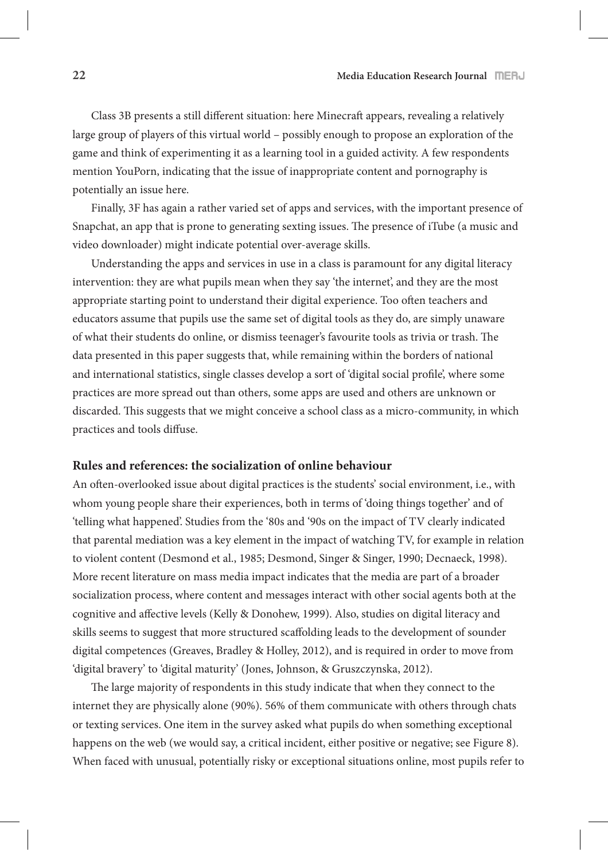Class 3B presents a still different situation: here Minecraft appears, revealing a relatively large group of players of this virtual world – possibly enough to propose an exploration of the game and think of experimenting it as a learning tool in a guided activity. A few respondents mention YouPorn, indicating that the issue of inappropriate content and pornography is potentially an issue here.

Finally, 3F has again a rather varied set of apps and services, with the important presence of Snapchat, an app that is prone to generating sexting issues. The presence of iTube (a music and video downloader) might indicate potential over-average skills.

Understanding the apps and services in use in a class is paramount for any digital literacy intervention: they are what pupils mean when they say 'the internet', and they are the most appropriate starting point to understand their digital experience. Too often teachers and educators assume that pupils use the same set of digital tools as they do, are simply unaware of what their students do online, or dismiss teenager's favourite tools as trivia or trash. The data presented in this paper suggests that, while remaining within the borders of national and international statistics, single classes develop a sort of 'digital social profile', where some practices are more spread out than others, some apps are used and others are unknown or discarded. This suggests that we might conceive a school class as a micro-community, in which practices and tools diffuse.

### **Rules and references: the socialization of online behaviour**

An often-overlooked issue about digital practices is the students' social environment, i.e., with whom young people share their experiences, both in terms of 'doing things together' and of 'telling what happened'. Studies from the '80s and '90s on the impact of TV clearly indicated that parental mediation was a key element in the impact of watching TV, for example in relation to violent content (Desmond et al., 1985; Desmond, Singer & Singer, 1990; Decnaeck, 1998). More recent literature on mass media impact indicates that the media are part of a broader socialization process, where content and messages interact with other social agents both at the cognitive and affective levels (Kelly & Donohew, 1999). Also, studies on digital literacy and skills seems to suggest that more structured scaffolding leads to the development of sounder digital competences (Greaves, Bradley & Holley, 2012), and is required in order to move from 'digital bravery' to 'digital maturity' (Jones, Johnson, & Gruszczynska, 2012).

The large majority of respondents in this study indicate that when they connect to the internet they are physically alone (90%). 56% of them communicate with others through chats or texting services. One item in the survey asked what pupils do when something exceptional happens on the web (we would say, a critical incident, either positive or negative; see Figure 8). When faced with unusual, potentially risky or exceptional situations online, most pupils refer to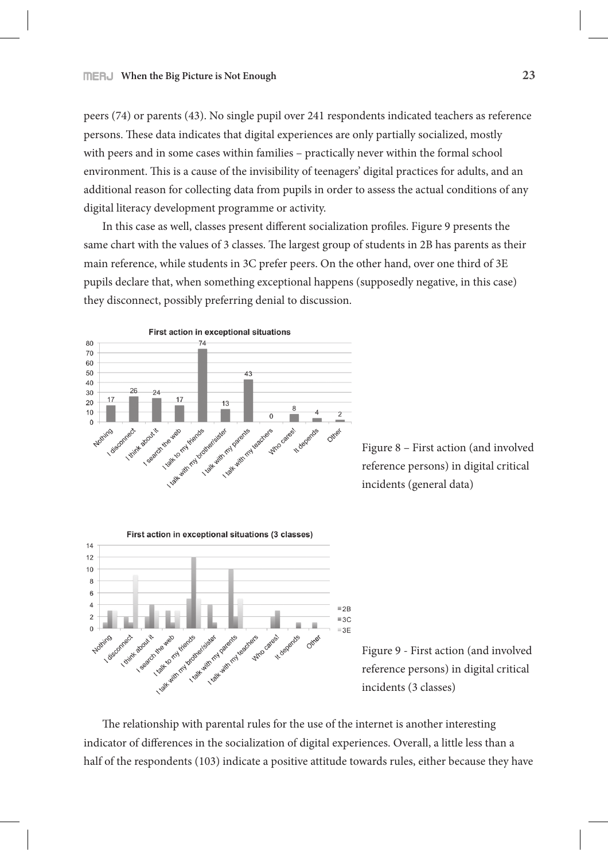peers (74) or parents (43). No single pupil over 241 respondents indicated teachers as reference persons. These data indicates that digital experiences are only partially socialized, mostly with peers and in some cases within families – practically never within the formal school environment. This is a cause of the invisibility of teenagers' digital practices for adults, and an additional reason for collecting data from pupils in order to assess the actual conditions of any digital literacy development programme or activity.

In this case as well, classes present different socialization profiles. Figure 9 presents the same chart with the values of 3 classes. The largest group of students in 2B has parents as their main reference, while students in 3C prefer peers. On the other hand, over one third of 3E pupils declare that, when something exceptional happens (supposedly negative, in this case) they disconnect, possibly preferring denial to discussion.



Figure 8 – First action (and involved reference persons) in digital critical incidents (general data)



Figure 9 - First action (and involved reference persons) in digital critical incidents (3 classes)

The relationship with parental rules for the use of the internet is another interesting indicator of differences in the socialization of digital experiences. Overall, a little less than a half of the respondents (103) indicate a positive attitude towards rules, either because they have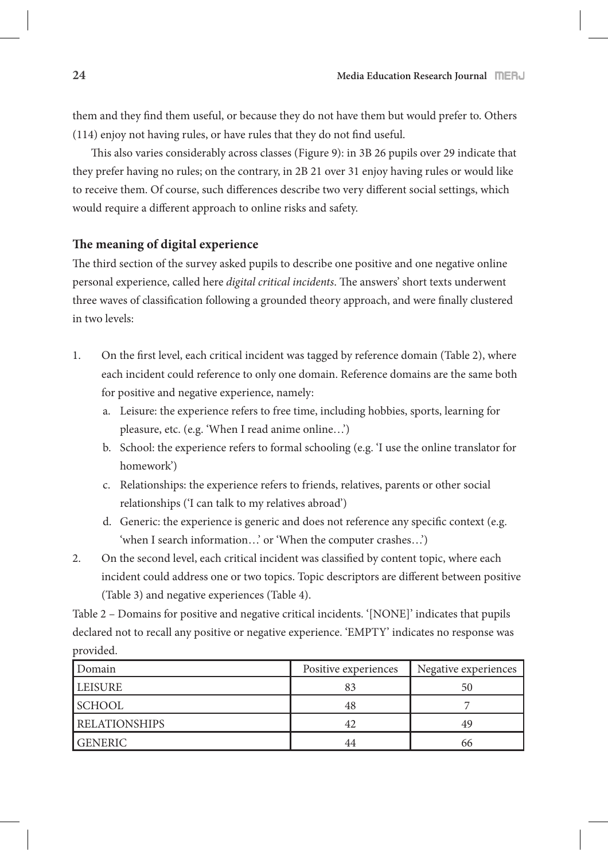them and they find them useful, or because they do not have them but would prefer to. Others  $(114)$  enjoy not having rules, or have rules that they do not find useful.

This also varies considerably across classes (Figure 9): in 3B 26 pupils over 29 indicate that they prefer having no rules; on the contrary, in 2B 21 over 31 enjoy having rules or would like to receive them. Of course, such differences describe two very different social settings, which would require a different approach to online risks and safety.

### **!e meaning of digital experience**

The third section of the survey asked pupils to describe one positive and one negative online personal experience, called here *digital critical incidents*. The answers' short texts underwent three waves of classification following a grounded theory approach, and were finally clustered in two levels:

- 1. On the first level, each critical incident was tagged by reference domain (Table 2), where each incident could reference to only one domain. Reference domains are the same both for positive and negative experience, namely:
	- a. Leisure: the experience refers to free time, including hobbies, sports, learning for pleasure, etc. (e.g. 'When I read anime online…')
	- b. School: the experience refers to formal schooling (e.g. 'I use the online translator for homework')
	- c. Relationships: the experience refers to friends, relatives, parents or other social relationships ('I can talk to my relatives abroad')
	- d. Generic: the experience is generic and does not reference any specific context (e.g. 'when I search information…' or 'When the computer crashes…')
- 2. On the second level, each critical incident was classified by content topic, where each incident could address one or two topics. Topic descriptors are different between positive (Table 3) and negative experiences (Table 4).

Table 2 – Domains for positive and negative critical incidents. '[NONE]' indicates that pupils declared not to recall any positive or negative experience. 'EMPTY' indicates no response was provided.

| Domain               | Positive experiences | Negative experiences |
|----------------------|----------------------|----------------------|
| LEISURE              | 83                   | 50                   |
| <b>SCHOOL</b>        | 48                   |                      |
| <b>RELATIONSHIPS</b> |                      | 49                   |
| <b>GENERIC</b>       | 44                   |                      |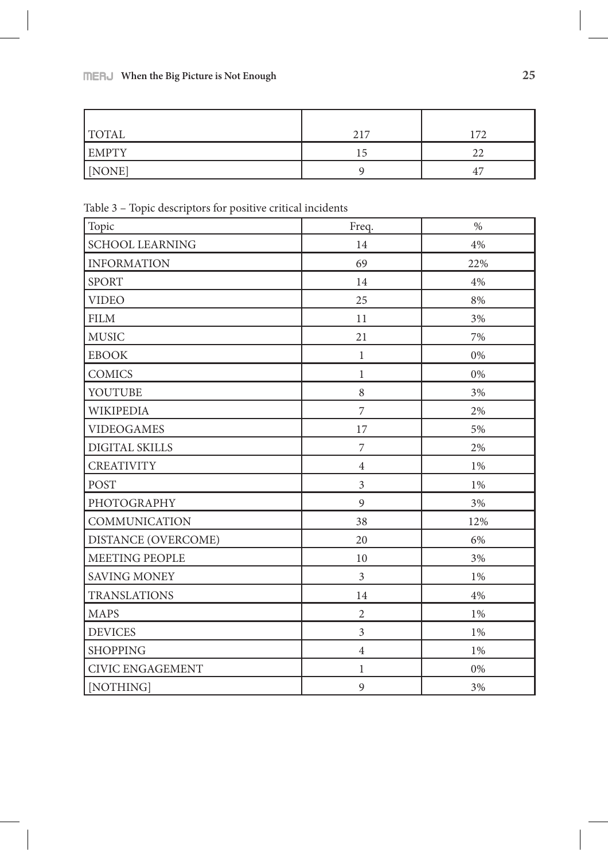# **When the Big Picture is Not Enough 25**

| <b>TOTAL</b> | 217 | 172         |
|--------------|-----|-------------|
| <b>EMPTY</b> | د ، |             |
| [NONE]       |     | $4^{\circ}$ |

Table 3 – Topic descriptors for positive critical incidents

| Topic                      | Freq.          | $\%$  |
|----------------------------|----------------|-------|
| <b>SCHOOL LEARNING</b>     | 14             | 4%    |
| <b>INFORMATION</b>         | 69             | 22%   |
| <b>SPORT</b>               | 14             | 4%    |
| <b>VIDEO</b>               | 25             | 8%    |
| <b>FILM</b>                | 11             | 3%    |
| <b>MUSIC</b>               | 21             | 7%    |
| <b>EBOOK</b>               | $\mathbf{1}$   | $0\%$ |
| <b>COMICS</b>              | $\mathbf{1}$   | 0%    |
| YOUTUBE                    | 8              | 3%    |
| <b>WIKIPEDIA</b>           | $\overline{7}$ | 2%    |
| <b>VIDEOGAMES</b>          | 17             | 5%    |
| DIGITAL SKILLS             | $\overline{7}$ | 2%    |
| <b>CREATIVITY</b>          | $\overline{4}$ | 1%    |
| <b>POST</b>                | $\overline{3}$ | 1%    |
| PHOTOGRAPHY                | 9              | 3%    |
| <b>COMMUNICATION</b>       | 38             | 12%   |
| <b>DISTANCE (OVERCOME)</b> | 20             | 6%    |
| <b>MEETING PEOPLE</b>      | 10             | 3%    |
| <b>SAVING MONEY</b>        | $\overline{3}$ | 1%    |
| <b>TRANSLATIONS</b>        | 14             | 4%    |
| <b>MAPS</b>                | $\overline{2}$ | 1%    |
| <b>DEVICES</b>             | 3              | 1%    |
| <b>SHOPPING</b>            | $\overline{4}$ | 1%    |
| <b>CIVIC ENGAGEMENT</b>    | $\mathbf{1}$   | $0\%$ |
| [NOTHING]                  | 9              | 3%    |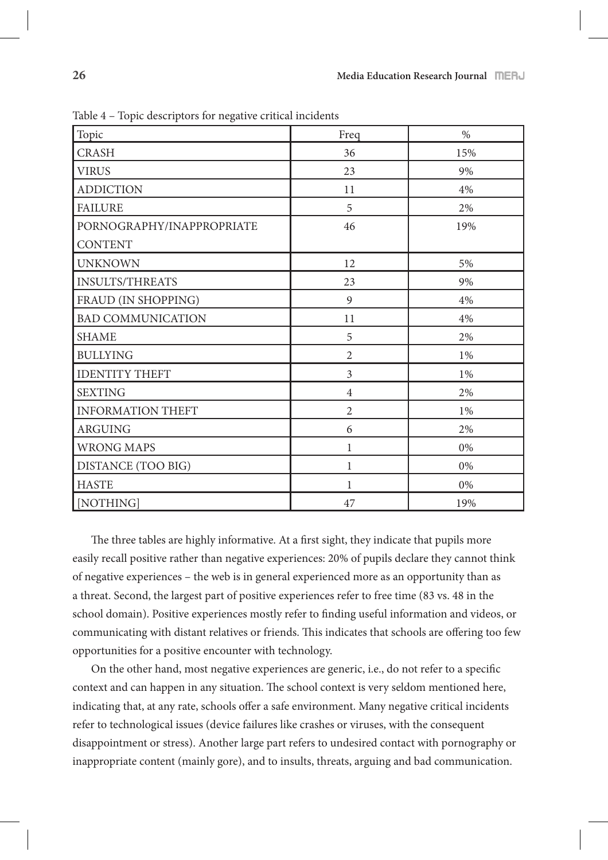| Topic                                       | Freq           | $\%$ |
|---------------------------------------------|----------------|------|
| <b>CRASH</b>                                | 36             | 15%  |
| <b>VIRUS</b>                                | 23             | 9%   |
| <b>ADDICTION</b>                            | 11             | 4%   |
| <b>FAILURE</b>                              | 5              | 2%   |
| PORNOGRAPHY/INAPPROPRIATE<br><b>CONTENT</b> | 46             | 19%  |
| <b>UNKNOWN</b>                              | 12             | 5%   |
| <b>INSULTS/THREATS</b>                      | 23             | 9%   |
| FRAUD (IN SHOPPING)                         | 9              | 4%   |
| <b>BAD COMMUNICATION</b>                    | 11             | 4%   |
| <b>SHAME</b>                                | 5              | 2%   |
| <b>BULLYING</b>                             | $\overline{2}$ | 1%   |
| <b>IDENTITY THEFT</b>                       | $\overline{3}$ | 1%   |
| <b>SEXTING</b>                              | $\overline{4}$ | 2%   |
| <b>INFORMATION THEFT</b>                    | $\overline{2}$ | 1%   |
| <b>ARGUING</b>                              | 6              | 2%   |
| <b>WRONG MAPS</b>                           | $\mathbf{1}$   | 0%   |
| DISTANCE (TOO BIG)                          | $\mathbf{1}$   | 0%   |
| <b>HASTE</b>                                | $\mathbf{1}$   | 0%   |
| [NOTHING]                                   | 47             | 19%  |

Table 4 – Topic descriptors for negative critical incidents

The three tables are highly informative. At a first sight, they indicate that pupils more easily recall positive rather than negative experiences: 20% of pupils declare they cannot think of negative experiences – the web is in general experienced more as an opportunity than as a threat. Second, the largest part of positive experiences refer to free time (83 vs. 48 in the school domain). Positive experiences mostly refer to finding useful information and videos, or communicating with distant relatives or friends. This indicates that schools are offering too few opportunities for a positive encounter with technology.

On the other hand, most negative experiences are generic, i.e., do not refer to a specific context and can happen in any situation. The school context is very seldom mentioned here, indicating that, at any rate, schools offer a safe environment. Many negative critical incidents refer to technological issues (device failures like crashes or viruses, with the consequent disappointment or stress). Another large part refers to undesired contact with pornography or inappropriate content (mainly gore), and to insults, threats, arguing and bad communication.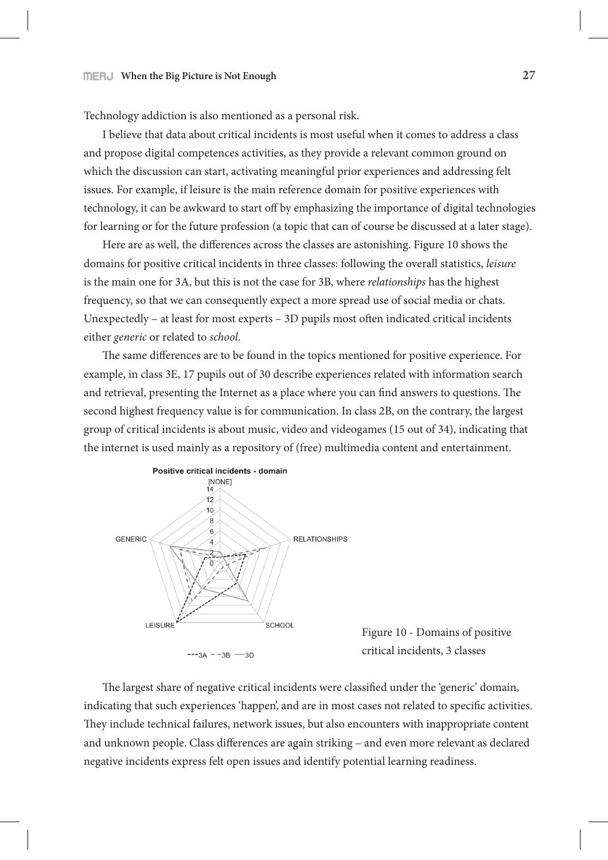Technology addiction is also mentioned as a personal risk.

I believe that data about critical incidents is most useful when it comes to address a class and propose digital competences activities, as they provide a relevant common ground on which the discussion can start, activating meaningful prior experiences and addressing felt issues. For example, if leisure is the main reference domain for positive experiences with technology, it can be awkward to start off by emphasizing the importance of digital technologies for learning or for the future profession (a topic that can of course be discussed at a later stage).

Here are as well, the differences across the classes are astonishing. Figure 10 shows the domains for positive critical incidents in three classes: following the overall statistics, *leisure* is the main one for 3A, but this is not the case for 3B, where *relationships* has the highest frequency, so that we can consequently expect a more spread use of social media or chats. Unexpectedly – at least for most experts –  $3D$  pupils most often indicated critical incidents either *generic* or related to *school*.

The same differences are to be found in the topics mentioned for positive experience. For example, in class 3E, 17 pupils out of 30 describe experiences related with information search and retrieval, presenting the Internet as a place where you can find answers to questions. The second highest frequency value is for communication. In class 2B, on the contrary, the largest group of critical incidents is about music, video and videogames (15 out of 34), indicating that the internet is used mainly as a repository of (free) multimedia content and entertainment.



Figure 10 - Domains of positive critical incidents, 3 classes

The largest share of negative critical incidents were classified under the 'generic' domain, indicating that such experiences 'happen', and are in most cases not related to specific activities. They include technical failures, network issues, but also encounters with inappropriate content and unknown people. Class differences are again striking - and even more relevant as declared negative incidents express felt open issues and identify potential learning readiness.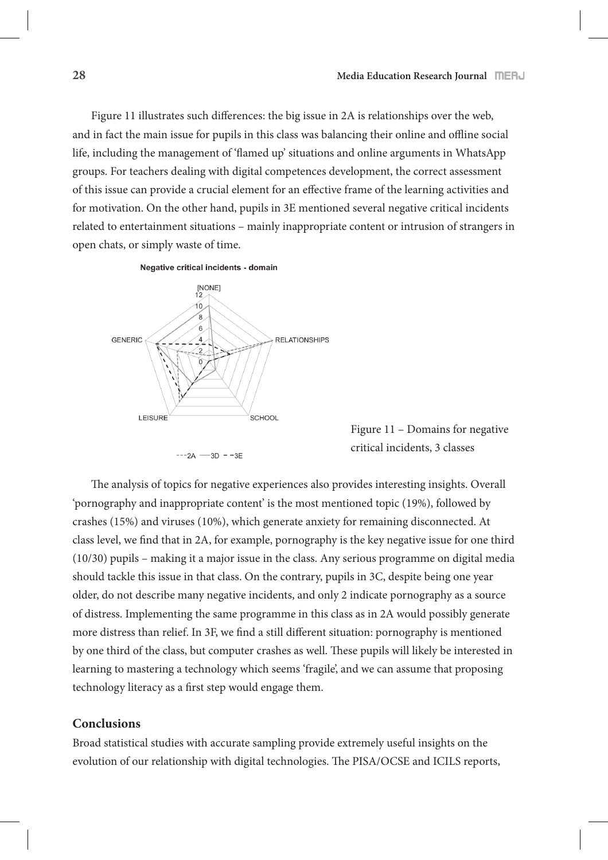Figure 11 illustrates such differences: the big issue in 2A is relationships over the web, and in fact the main issue for pupils in this class was balancing their online and offline social life, including the management of 'flamed up' situations and online arguments in WhatsApp groups. For teachers dealing with digital competences development, the correct assessment of this issue can provide a crucial element for an effective frame of the learning activities and for motivation. On the other hand, pupils in 3E mentioned several negative critical incidents related to entertainment situations – mainly inappropriate content or intrusion of strangers in open chats, or simply waste of time.



Figure 11 – Domains for negative critical incidents, 3 classes

The analysis of topics for negative experiences also provides interesting insights. Overall 'pornography and inappropriate content' is the most mentioned topic (19%), followed by crashes (15%) and viruses (10%), which generate anxiety for remaining disconnected. At class level, we find that in 2A, for example, pornography is the key negative issue for one third (10/30) pupils – making it a major issue in the class. Any serious programme on digital media should tackle this issue in that class. On the contrary, pupils in 3C, despite being one year older, do not describe many negative incidents, and only 2 indicate pornography as a source of distress. Implementing the same programme in this class as in 2A would possibly generate more distress than relief. In 3F, we find a still different situation: pornography is mentioned by one third of the class, but computer crashes as well. These pupils will likely be interested in learning to mastering a technology which seems 'fragile', and we can assume that proposing technology literacy as a first step would engage them.

### **Conclusions**

Broad statistical studies with accurate sampling provide extremely useful insights on the evolution of our relationship with digital technologies. The PISA/OCSE and ICILS reports,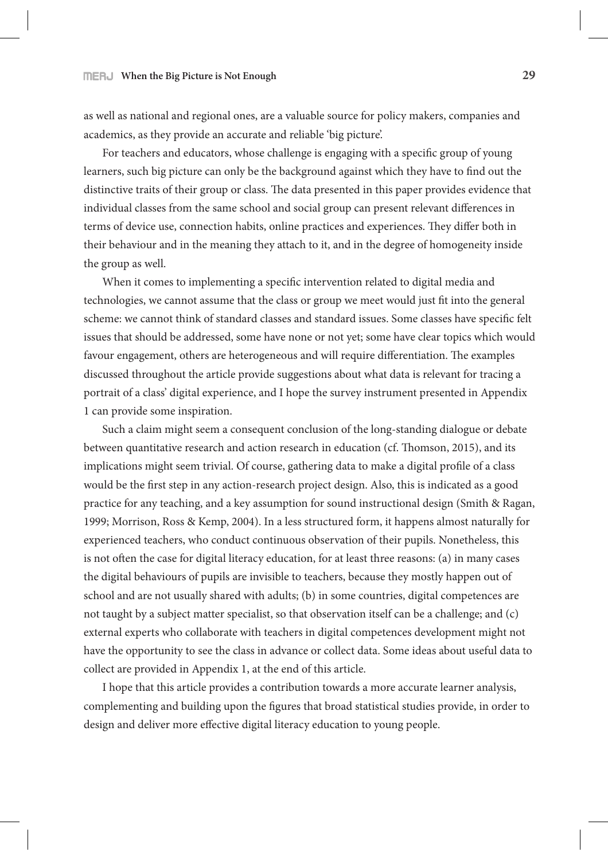### **When the Big Picture is Not Enough 29**

as well as national and regional ones, are a valuable source for policy makers, companies and academics, as they provide an accurate and reliable 'big picture'.

For teachers and educators, whose challenge is engaging with a specific group of young learners, such big picture can only be the background against which they have to find out the distinctive traits of their group or class. The data presented in this paper provides evidence that individual classes from the same school and social group can present relevant differences in terms of device use, connection habits, online practices and experiences. They differ both in their behaviour and in the meaning they attach to it, and in the degree of homogeneity inside the group as well.

When it comes to implementing a specific intervention related to digital media and technologies, we cannot assume that the class or group we meet would just fit into the general scheme: we cannot think of standard classes and standard issues. Some classes have specific felt issues that should be addressed, some have none or not yet; some have clear topics which would favour engagement, others are heterogeneous and will require differentiation. The examples discussed throughout the article provide suggestions about what data is relevant for tracing a portrait of a class' digital experience, and I hope the survey instrument presented in Appendix 1 can provide some inspiration.

Such a claim might seem a consequent conclusion of the long-standing dialogue or debate between quantitative research and action research in education (cf. Thomson, 2015), and its implications might seem trivial. Of course, gathering data to make a digital profile of a class would be the first step in any action-research project design. Also, this is indicated as a good practice for any teaching, and a key assumption for sound instructional design (Smith & Ragan, 1999; Morrison, Ross & Kemp, 2004). In a less structured form, it happens almost naturally for experienced teachers, who conduct continuous observation of their pupils. Nonetheless, this is not often the case for digital literacy education, for at least three reasons: (a) in many cases the digital behaviours of pupils are invisible to teachers, because they mostly happen out of school and are not usually shared with adults; (b) in some countries, digital competences are not taught by a subject matter specialist, so that observation itself can be a challenge; and (c) external experts who collaborate with teachers in digital competences development might not have the opportunity to see the class in advance or collect data. Some ideas about useful data to collect are provided in Appendix 1, at the end of this article.

I hope that this article provides a contribution towards a more accurate learner analysis, complementing and building upon the figures that broad statistical studies provide, in order to design and deliver more effective digital literacy education to young people.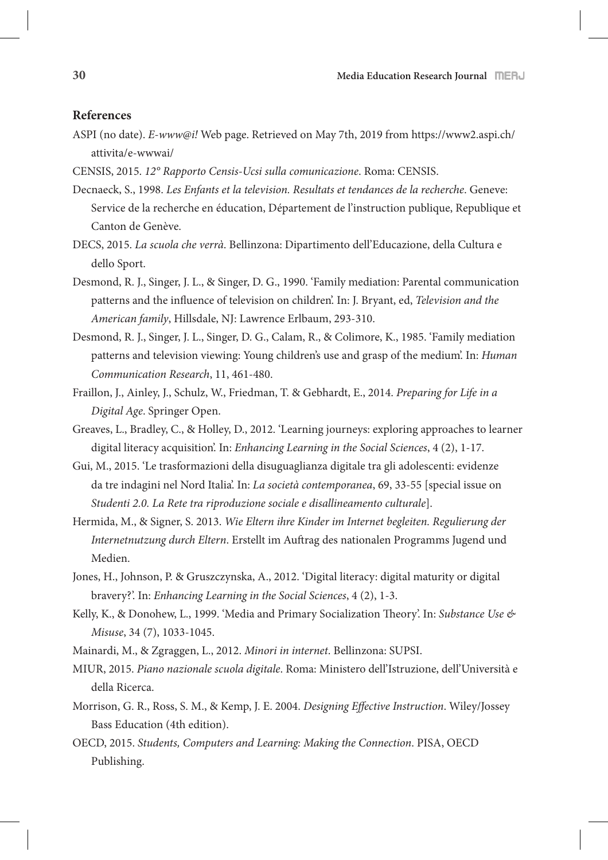#### **References**

- ASPI (no date). *E-www@i!* Web page. Retrieved on May 7th, 2019 from https://www2.aspi.ch/ attivita/e-wwwai/
- CENSIS, 2015. *12° Rapporto Censis-Ucsi sulla comunicazione*. Roma: CENSIS.
- Decnaeck, S., 1998. *Les Enfants et la television. Resultats et tendances de la recherche*. Geneve: Service de la recherche en éducation, Département de l'instruction publique, Republique et Canton de Genève.
- DECS, 2015. *La scuola che verrà*. Bellinzona: Dipartimento dell'Educazione, della Cultura e dello Sport.
- Desmond, R. J., Singer, J. L., & Singer, D. G., 1990. 'Family mediation: Parental communication patterns and the influence of television on children'. In: J. Bryant, ed, *Television and the American family*, Hillsdale, NJ: Lawrence Erlbaum, 293-310.
- Desmond, R. J., Singer, J. L., Singer, D. G., Calam, R., & Colimore, K., 1985. 'Family mediation patterns and television viewing: Young children's use and grasp of the medium'. In: *Human Communication Research*, 11, 461-480.
- Fraillon, J., Ainley, J., Schulz, W., Friedman, T. & Gebhardt, E., 2014. *Preparing for Life in a Digital Age*. Springer Open.
- Greaves, L., Bradley, C., & Holley, D., 2012. 'Learning journeys: exploring approaches to learner digital literacy acquisition'. In: *Enhancing Learning in the Social Sciences*, 4 (2), 1-17.
- Gui, M., 2015. 'Le trasformazioni della disuguaglianza digitale tra gli adolescenti: evidenze da tre indagini nel Nord Italia'. In: *La società contemporanea*, 69, 33-55 [special issue on *Studenti 2.0. La Rete tra riproduzione sociale e disallineamento culturale*].
- Hermida, M., & Signer, S. 2013. *Wie Eltern ihre Kinder im Internet begleiten. Regulierung der*  Internetnutzung durch Eltern. Erstellt im Auftrag des nationalen Programms Jugend und Medien.
- Jones, H., Johnson, P. & Gruszczynska, A., 2012. 'Digital literacy: digital maturity or digital bravery?'. In: *Enhancing Learning in the Social Sciences*, 4 (2), 1-3.
- Kelly, K., & Donohew, L., 1999. 'Media and Primary Socialization Theory'. In: Substance Use & *Misuse*, 34 (7), 1033-1045.
- Mainardi, M., & Zgraggen, L., 2012. *Minori in internet*. Bellinzona: SUPSI.
- MIUR, 2015. *Piano nazionale scuola digitale*. Roma: Ministero dell'Istruzione, dell'Università e della Ricerca.
- Morrison, G. R., Ross, S. M., & Kemp, J. E. 2004. *Designing Effective Instruction*. Wiley/Jossey Bass Education (4th edition).
- OECD, 2015. *Students, Computers and Learning: Making the Connection*. PISA, OECD Publishing.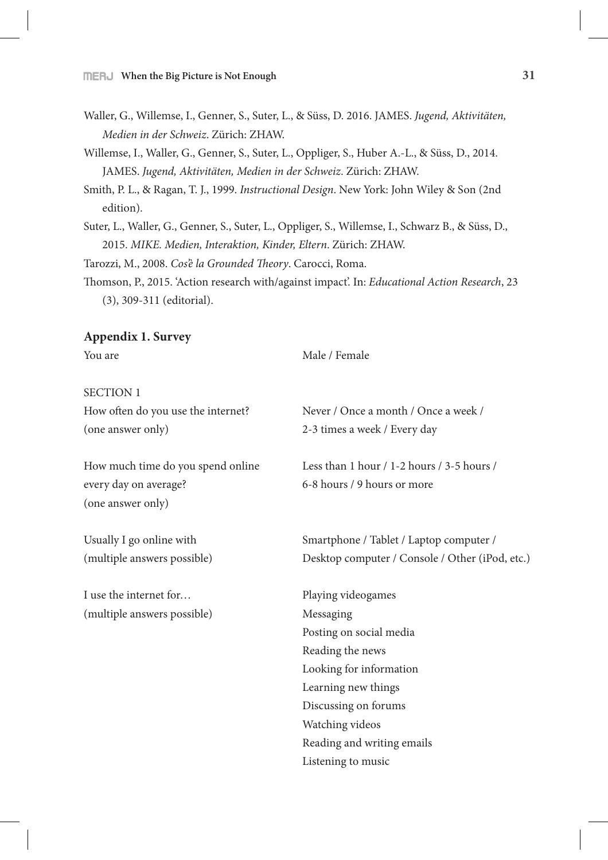- Waller, G., Willemse, I., Genner, S., Suter, L., & Süss, D. 2016. JAMES. *Jugend, Aktivitäten, Medien in der Schweiz*. Zürich: ZHAW.
- Willemse, I., Waller, G., Genner, S., Suter, L., Oppliger, S., Huber A.-L., & Süss, D., 2014. JAMES. *Jugend, Aktivitäten, Medien in der Schweiz*. Zürich: ZHAW.
- Smith, P. L., & Ragan, T. J., 1999. *Instructional Design*. New York: John Wiley & Son (2nd edition).
- Suter, L., Waller, G., Genner, S., Suter, L., Oppliger, S., Willemse, I., Schwarz B., & Süss, D., 2015. *MIKE. Medien, Interaktion, Kinder, Eltern*. Zürich: ZHAW.

Tarozzi, M., 2008. *Cos'è la Grounded* #*eory*. Carocci, Roma.

Thomson, P., 2015. 'Action research with/against impact'. In: *Educational Action Research*, 23 (3), 309-311 (editorial).

#### **Appendix 1. Survey**

You are Male / Female SECTION 1 How often do you use the internet? Never / Once a month / Once a week / (one answer only) 2-3 times a week / Every day How much time do you spend online Less than 1 hour / 1-2 hours / 3-5 hours / every day on average? 6-8 hours / 9 hours or more (one answer only) Usually I go online with Smartphone / Tablet / Laptop computer / (multiple answers possible) Desktop computer / Console / Other (iPod, etc.) I use the internet for... Playing videogames (multiple answers possible) Messaging Posting on social media Reading the news Looking for information Learning new things Discussing on forums Watching videos Reading and writing emails Listening to music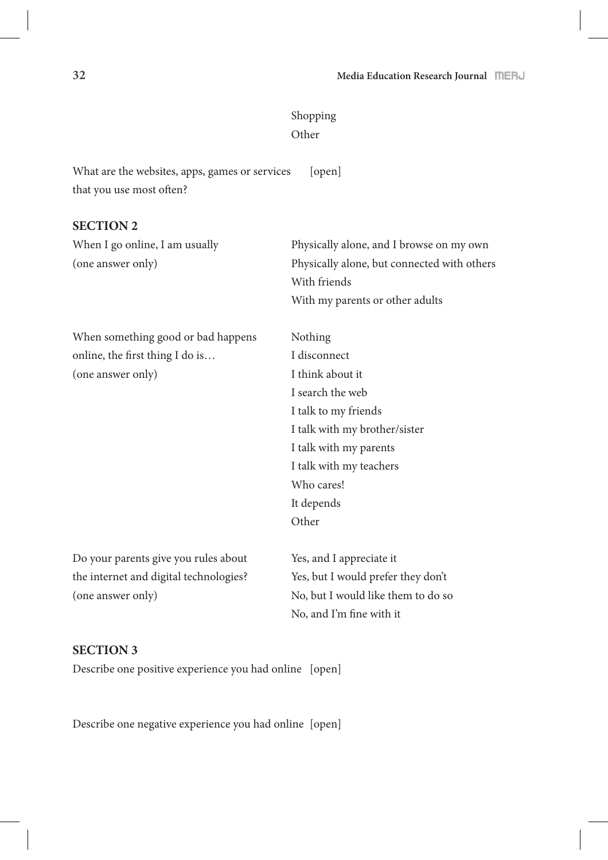# Shopping Other

What are the websites, apps, games or services [open] that you use most often?

## **SECTION 2**

| When I go online, I am usually         | Physically alone, and I browse on my own    |
|----------------------------------------|---------------------------------------------|
| (one answer only)                      | Physically alone, but connected with others |
|                                        | With friends                                |
|                                        | With my parents or other adults             |
| When something good or bad happens     | Nothing                                     |
| online, the first thing I do is        | I disconnect                                |
| (one answer only)                      | I think about it                            |
|                                        | I search the web                            |
|                                        | I talk to my friends                        |
|                                        | I talk with my brother/sister               |
|                                        | I talk with my parents                      |
|                                        | I talk with my teachers                     |
|                                        | Who cares!                                  |
|                                        | It depends                                  |
|                                        | Other                                       |
| Do your parents give you rules about   | Yes, and I appreciate it                    |
| the internet and digital technologies? | Yes, but I would prefer they don't          |
| (one answer only)                      | No, but I would like them to do so          |
|                                        | No, and I'm fine with it                    |

### **SECTION 3**

Describe one positive experience you had online [open]

Describe one negative experience you had online [open]